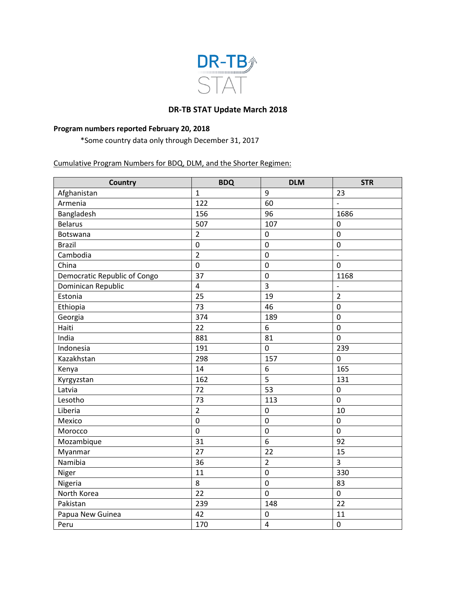

## **DR-TB STAT Update March 2018**

## **Program numbers reported February 20, 2018**

\*Some country data only through December 31, 2017

Cumulative Program Numbers for BDQ, DLM, and the Shorter Regimen:

| <b>Country</b>               | <b>BDQ</b>     | <b>DLM</b>              | <b>STR</b>               |
|------------------------------|----------------|-------------------------|--------------------------|
| Afghanistan                  | $\mathbf{1}$   | 9                       | 23                       |
| Armenia                      | 122            | 60                      | $\overline{a}$           |
| Bangladesh                   | 156            | 96                      | 1686                     |
| <b>Belarus</b>               | 507            | 107                     | $\mathbf 0$              |
| Botswana                     | $\overline{2}$ | $\boldsymbol{0}$        | $\mathbf 0$              |
| <b>Brazil</b>                | 0              | $\mathbf 0$             | $\mathbf 0$              |
| Cambodia                     | $\overline{2}$ | $\mathbf 0$             | $\overline{a}$           |
| China                        | $\overline{0}$ | $\mathbf 0$             | $\overline{0}$           |
| Democratic Republic of Congo | 37             | $\mathbf 0$             | 1168                     |
| Dominican Republic           | 4              | $\overline{3}$          | $\overline{\phantom{a}}$ |
| Estonia                      | 25             | 19                      | $\overline{2}$           |
| Ethiopia                     | 73             | 46                      | $\mathbf 0$              |
| Georgia                      | 374            | 189                     | $\overline{0}$           |
| Haiti                        | 22             | 6                       | $\mathbf 0$              |
| India                        | 881            | 81                      | $\mathbf 0$              |
| Indonesia                    | 191            | $\overline{0}$          | 239                      |
| Kazakhstan                   | 298            | 157                     | $\overline{0}$           |
| Kenya                        | 14             | 6                       | 165                      |
| Kyrgyzstan                   | 162            | 5                       | 131                      |
| Latvia                       | 72             | 53                      | $\boldsymbol{0}$         |
| Lesotho                      | 73             | 113                     | $\mathbf 0$              |
| Liberia                      | $\overline{2}$ | $\pmb{0}$               | 10                       |
| Mexico                       | $\overline{0}$ | $\mathbf 0$             | $\mathbf 0$              |
| Morocco                      | 0              | $\mathbf 0$             | $\mathbf 0$              |
| Mozambique                   | 31             | $\overline{6}$          | 92                       |
| Myanmar                      | 27             | 22                      | 15                       |
| Namibia                      | 36             | $\overline{2}$          | 3                        |
| Niger                        | 11             | $\mathbf 0$             | 330                      |
| Nigeria                      | 8              | $\pmb{0}$               | 83                       |
| North Korea                  | 22             | $\overline{0}$          | $\mathbf 0$              |
| Pakistan                     | 239            | 148                     | 22                       |
| Papua New Guinea             | 42             | $\boldsymbol{0}$        | 11                       |
| Peru                         | 170            | $\overline{\mathbf{4}}$ | $\mathbf 0$              |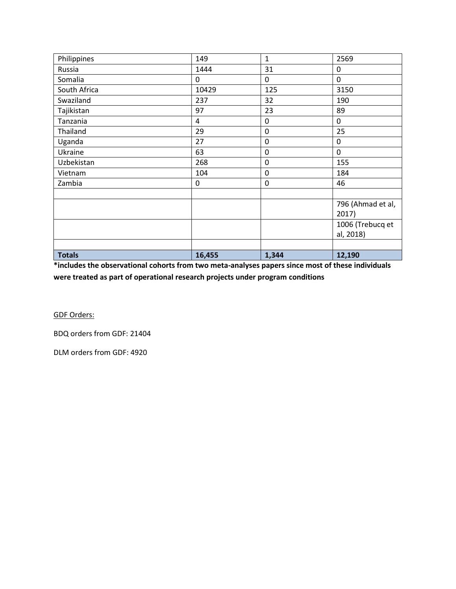| Philippines   | 149            | $\mathbf{1}$ | 2569              |
|---------------|----------------|--------------|-------------------|
| Russia        | 1444           | 31           | 0                 |
| Somalia       | 0              | $\mathbf{0}$ | $\mathbf{0}$      |
| South Africa  | 10429          | 125          | 3150              |
| Swaziland     | 237            | 32           | 190               |
| Tajikistan    | 97             | 23           | 89                |
| Tanzania      | $\overline{4}$ | 0            | $\mathbf 0$       |
| Thailand      | 29             | 0            | 25                |
| Uganda        | 27             | $\mathbf 0$  | $\mathbf 0$       |
| Ukraine       | 63             | $\mathbf 0$  | 0                 |
| Uzbekistan    | 268            | 0            | 155               |
| Vietnam       | 104            | $\mathbf 0$  | 184               |
| Zambia        | 0              | 0            | 46                |
|               |                |              |                   |
|               |                |              | 796 (Ahmad et al, |
|               |                |              | 2017)             |
|               |                |              | 1006 (Trebucq et  |
|               |                |              | al, 2018)         |
|               |                |              |                   |
| <b>Totals</b> | 16,455         | 1,344        | 12,190            |

**\*includes the observational cohorts from two meta-analyses papers since most of these individuals were treated as part of operational research projects under program conditions**

GDF Orders:

BDQ orders from GDF: 21404

DLM orders from GDF: 4920